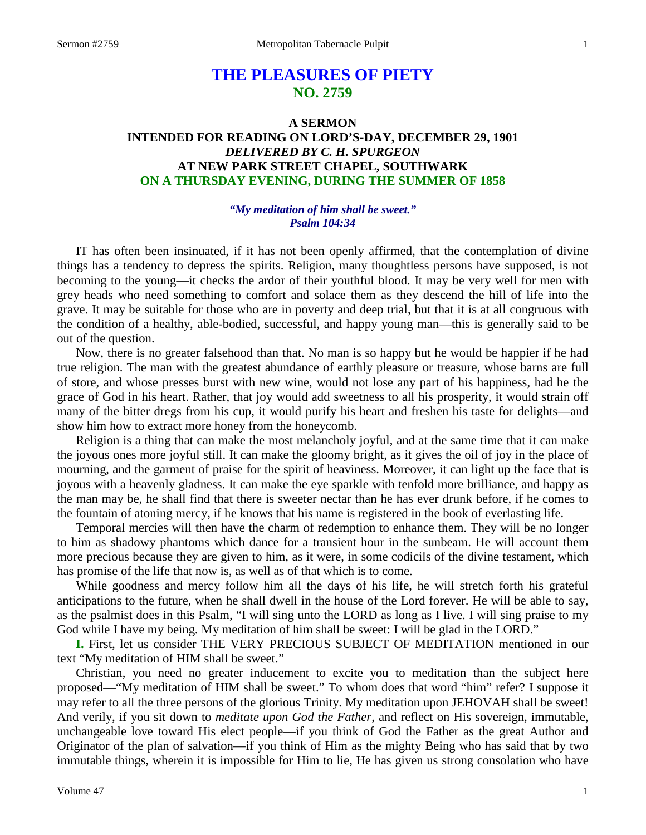# **THE PLEASURES OF PIETY NO. 2759**

## **A SERMON INTENDED FOR READING ON LORD'S-DAY, DECEMBER 29, 1901** *DELIVERED BY C. H. SPURGEON* **AT NEW PARK STREET CHAPEL, SOUTHWARK ON A THURSDAY EVENING, DURING THE SUMMER OF 1858**

### *"My meditation of him shall be sweet." Psalm 104:34*

IT has often been insinuated, if it has not been openly affirmed, that the contemplation of divine things has a tendency to depress the spirits. Religion, many thoughtless persons have supposed, is not becoming to the young—it checks the ardor of their youthful blood. It may be very well for men with grey heads who need something to comfort and solace them as they descend the hill of life into the grave. It may be suitable for those who are in poverty and deep trial, but that it is at all congruous with the condition of a healthy, able-bodied, successful, and happy young man—this is generally said to be out of the question.

Now, there is no greater falsehood than that. No man is so happy but he would be happier if he had true religion. The man with the greatest abundance of earthly pleasure or treasure, whose barns are full of store, and whose presses burst with new wine, would not lose any part of his happiness, had he the grace of God in his heart. Rather, that joy would add sweetness to all his prosperity, it would strain off many of the bitter dregs from his cup, it would purify his heart and freshen his taste for delights—and show him how to extract more honey from the honeycomb.

Religion is a thing that can make the most melancholy joyful, and at the same time that it can make the joyous ones more joyful still. It can make the gloomy bright, as it gives the oil of joy in the place of mourning, and the garment of praise for the spirit of heaviness. Moreover, it can light up the face that is joyous with a heavenly gladness. It can make the eye sparkle with tenfold more brilliance, and happy as the man may be, he shall find that there is sweeter nectar than he has ever drunk before, if he comes to the fountain of atoning mercy, if he knows that his name is registered in the book of everlasting life.

Temporal mercies will then have the charm of redemption to enhance them. They will be no longer to him as shadowy phantoms which dance for a transient hour in the sunbeam. He will account them more precious because they are given to him, as it were, in some codicils of the divine testament, which has promise of the life that now is, as well as of that which is to come.

While goodness and mercy follow him all the days of his life, he will stretch forth his grateful anticipations to the future, when he shall dwell in the house of the Lord forever. He will be able to say, as the psalmist does in this Psalm, "I will sing unto the LORD as long as I live. I will sing praise to my God while I have my being. My meditation of him shall be sweet: I will be glad in the LORD."

**I.** First, let us consider THE VERY PRECIOUS SUBJECT OF MEDITATION mentioned in our text "My meditation of HIM shall be sweet."

Christian, you need no greater inducement to excite you to meditation than the subject here proposed—"My meditation of HIM shall be sweet." To whom does that word "him" refer? I suppose it may refer to all the three persons of the glorious Trinity. My meditation upon JEHOVAH shall be sweet! And verily, if you sit down to *meditate upon God the Father*, and reflect on His sovereign, immutable, unchangeable love toward His elect people—if you think of God the Father as the great Author and Originator of the plan of salvation—if you think of Him as the mighty Being who has said that by two immutable things, wherein it is impossible for Him to lie, He has given us strong consolation who have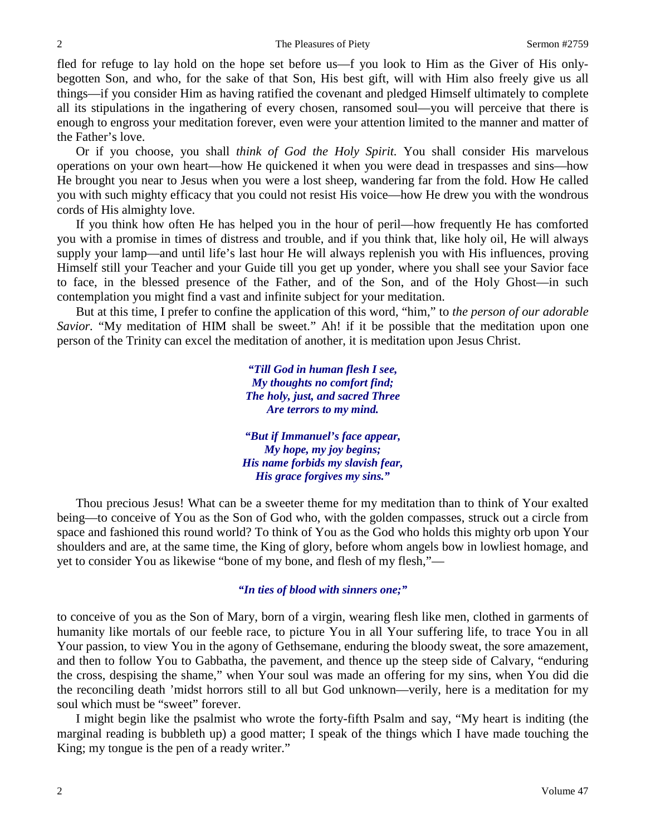fled for refuge to lay hold on the hope set before us—f you look to Him as the Giver of His onlybegotten Son, and who, for the sake of that Son, His best gift, will with Him also freely give us all things—if you consider Him as having ratified the covenant and pledged Himself ultimately to complete all its stipulations in the ingathering of every chosen, ransomed soul—you will perceive that there is enough to engross your meditation forever, even were your attention limited to the manner and matter of the Father's love.

Or if you choose, you shall *think of God the Holy Spirit.* You shall consider His marvelous operations on your own heart—how He quickened it when you were dead in trespasses and sins—how He brought you near to Jesus when you were a lost sheep, wandering far from the fold. How He called you with such mighty efficacy that you could not resist His voice—how He drew you with the wondrous cords of His almighty love.

If you think how often He has helped you in the hour of peril—how frequently He has comforted you with a promise in times of distress and trouble, and if you think that, like holy oil, He will always supply your lamp—and until life's last hour He will always replenish you with His influences, proving Himself still your Teacher and your Guide till you get up yonder, where you shall see your Savior face to face, in the blessed presence of the Father, and of the Son, and of the Holy Ghost—in such contemplation you might find a vast and infinite subject for your meditation.

But at this time, I prefer to confine the application of this word, "him," to *the person of our adorable Savior.* "My meditation of HIM shall be sweet." Ah! if it be possible that the meditation upon one person of the Trinity can excel the meditation of another, it is meditation upon Jesus Christ.

> *"Till God in human flesh I see, My thoughts no comfort find; The holy, just, and sacred Three Are terrors to my mind.*

*"But if Immanuel's face appear, My hope, my joy begins; His name forbids my slavish fear, His grace forgives my sins."*

Thou precious Jesus! What can be a sweeter theme for my meditation than to think of Your exalted being—to conceive of You as the Son of God who, with the golden compasses, struck out a circle from space and fashioned this round world? To think of You as the God who holds this mighty orb upon Your shoulders and are, at the same time, the King of glory, before whom angels bow in lowliest homage, and yet to consider You as likewise "bone of my bone, and flesh of my flesh,"—

### *"In ties of blood with sinners one;"*

to conceive of you as the Son of Mary, born of a virgin, wearing flesh like men, clothed in garments of humanity like mortals of our feeble race, to picture You in all Your suffering life, to trace You in all Your passion, to view You in the agony of Gethsemane, enduring the bloody sweat, the sore amazement, and then to follow You to Gabbatha, the pavement, and thence up the steep side of Calvary, "enduring the cross, despising the shame," when Your soul was made an offering for my sins, when You did die the reconciling death 'midst horrors still to all but God unknown—verily, here is a meditation for my soul which must be "sweet" forever.

I might begin like the psalmist who wrote the forty-fifth Psalm and say, "My heart is inditing (the marginal reading is bubbleth up) a good matter; I speak of the things which I have made touching the King; my tongue is the pen of a ready writer."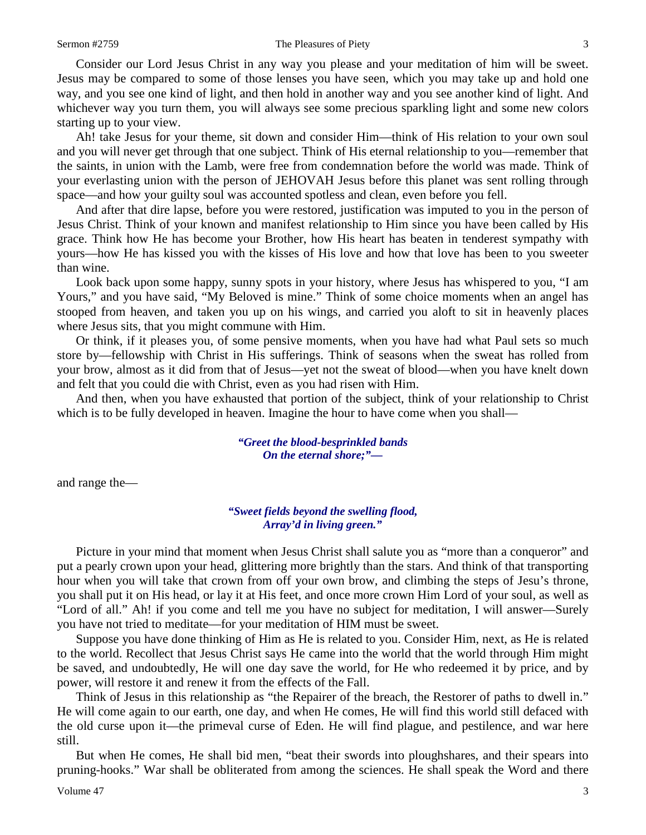#### Sermon #2759 The Pleasures of Piety 3

Consider our Lord Jesus Christ in any way you please and your meditation of him will be sweet. Jesus may be compared to some of those lenses you have seen, which you may take up and hold one way, and you see one kind of light, and then hold in another way and you see another kind of light. And whichever way you turn them, you will always see some precious sparkling light and some new colors starting up to your view.

Ah! take Jesus for your theme, sit down and consider Him—think of His relation to your own soul and you will never get through that one subject. Think of His eternal relationship to you—remember that the saints, in union with the Lamb, were free from condemnation before the world was made. Think of your everlasting union with the person of JEHOVAH Jesus before this planet was sent rolling through space—and how your guilty soul was accounted spotless and clean, even before you fell.

And after that dire lapse, before you were restored, justification was imputed to you in the person of Jesus Christ. Think of your known and manifest relationship to Him since you have been called by His grace. Think how He has become your Brother, how His heart has beaten in tenderest sympathy with yours—how He has kissed you with the kisses of His love and how that love has been to you sweeter than wine.

Look back upon some happy, sunny spots in your history, where Jesus has whispered to you, "I am Yours," and you have said, "My Beloved is mine." Think of some choice moments when an angel has stooped from heaven, and taken you up on his wings, and carried you aloft to sit in heavenly places where Jesus sits, that you might commune with Him.

Or think, if it pleases you, of some pensive moments, when you have had what Paul sets so much store by—fellowship with Christ in His sufferings. Think of seasons when the sweat has rolled from your brow, almost as it did from that of Jesus—yet not the sweat of blood—when you have knelt down and felt that you could die with Christ, even as you had risen with Him.

And then, when you have exhausted that portion of the subject, think of your relationship to Christ which is to be fully developed in heaven. Imagine the hour to have come when you shall—

> *"Greet the blood-besprinkled bands On the eternal shore;"—*

and range the—

### *"Sweet fields beyond the swelling flood, Array'd in living green."*

Picture in your mind that moment when Jesus Christ shall salute you as "more than a conqueror" and put a pearly crown upon your head, glittering more brightly than the stars. And think of that transporting hour when you will take that crown from off your own brow, and climbing the steps of Jesu's throne, you shall put it on His head, or lay it at His feet, and once more crown Him Lord of your soul, as well as "Lord of all." Ah! if you come and tell me you have no subject for meditation, I will answer—Surely you have not tried to meditate—for your meditation of HIM must be sweet.

Suppose you have done thinking of Him as He is related to you. Consider Him, next, as He is related to the world. Recollect that Jesus Christ says He came into the world that the world through Him might be saved, and undoubtedly, He will one day save the world, for He who redeemed it by price, and by power, will restore it and renew it from the effects of the Fall.

Think of Jesus in this relationship as "the Repairer of the breach, the Restorer of paths to dwell in." He will come again to our earth, one day, and when He comes, He will find this world still defaced with the old curse upon it—the primeval curse of Eden. He will find plague, and pestilence, and war here still.

But when He comes, He shall bid men, "beat their swords into ploughshares, and their spears into pruning-hooks." War shall be obliterated from among the sciences. He shall speak the Word and there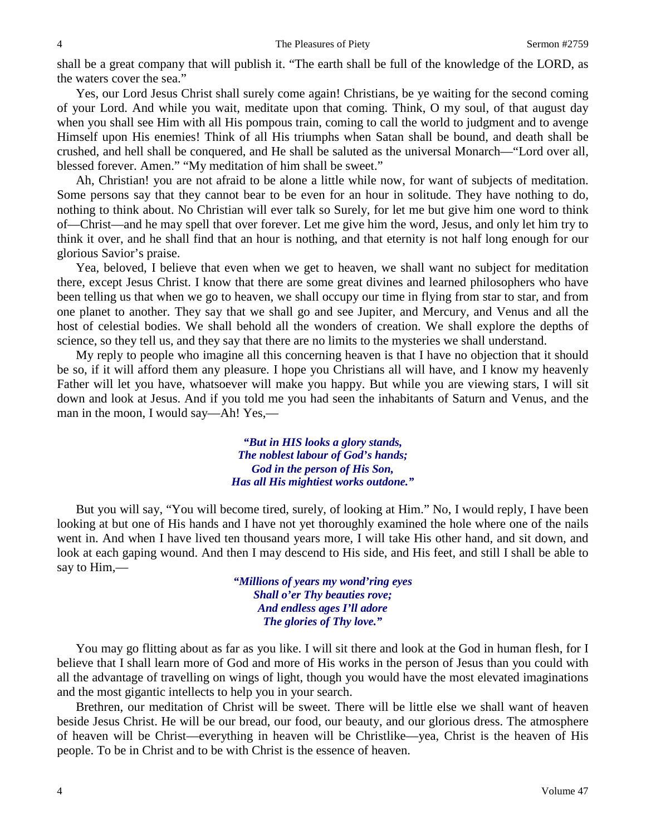shall be a great company that will publish it. "The earth shall be full of the knowledge of the LORD, as the waters cover the sea."

Yes, our Lord Jesus Christ shall surely come again! Christians, be ye waiting for the second coming of your Lord. And while you wait, meditate upon that coming. Think, O my soul, of that august day when you shall see Him with all His pompous train, coming to call the world to judgment and to avenge Himself upon His enemies! Think of all His triumphs when Satan shall be bound, and death shall be crushed, and hell shall be conquered, and He shall be saluted as the universal Monarch—"Lord over all, blessed forever. Amen." "My meditation of him shall be sweet."

Ah, Christian! you are not afraid to be alone a little while now, for want of subjects of meditation. Some persons say that they cannot bear to be even for an hour in solitude. They have nothing to do, nothing to think about. No Christian will ever talk so Surely, for let me but give him one word to think of—Christ—and he may spell that over forever. Let me give him the word, Jesus, and only let him try to think it over, and he shall find that an hour is nothing, and that eternity is not half long enough for our glorious Savior's praise.

Yea, beloved, I believe that even when we get to heaven, we shall want no subject for meditation there, except Jesus Christ. I know that there are some great divines and learned philosophers who have been telling us that when we go to heaven, we shall occupy our time in flying from star to star, and from one planet to another. They say that we shall go and see Jupiter, and Mercury, and Venus and all the host of celestial bodies. We shall behold all the wonders of creation. We shall explore the depths of science, so they tell us, and they say that there are no limits to the mysteries we shall understand.

My reply to people who imagine all this concerning heaven is that I have no objection that it should be so, if it will afford them any pleasure. I hope you Christians all will have, and I know my heavenly Father will let you have, whatsoever will make you happy. But while you are viewing stars, I will sit down and look at Jesus. And if you told me you had seen the inhabitants of Saturn and Venus, and the man in the moon, I would say—Ah! Yes,—

> *"But in HIS looks a glory stands, The noblest labour of God's hands; God in the person of His Son, Has all His mightiest works outdone."*

But you will say, "You will become tired, surely, of looking at Him." No, I would reply, I have been looking at but one of His hands and I have not yet thoroughly examined the hole where one of the nails went in. And when I have lived ten thousand years more, I will take His other hand, and sit down, and look at each gaping wound. And then I may descend to His side, and His feet, and still I shall be able to say to Him,—

> *"Millions of years my wond'ring eyes Shall o'er Thy beauties rove; And endless ages I'll adore The glories of Thy love."*

You may go flitting about as far as you like. I will sit there and look at the God in human flesh, for I believe that I shall learn more of God and more of His works in the person of Jesus than you could with all the advantage of travelling on wings of light, though you would have the most elevated imaginations and the most gigantic intellects to help you in your search.

Brethren, our meditation of Christ will be sweet. There will be little else we shall want of heaven beside Jesus Christ. He will be our bread, our food, our beauty, and our glorious dress. The atmosphere of heaven will be Christ—everything in heaven will be Christlike—yea, Christ is the heaven of His people. To be in Christ and to be with Christ is the essence of heaven.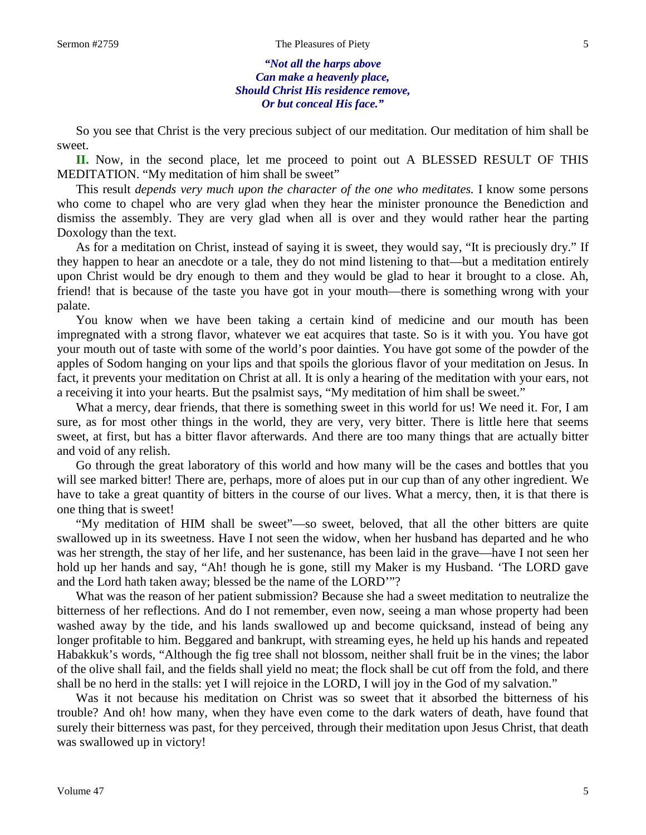#### Sermon #2759 The Pleasures of Piety 5

*"Not all the harps above Can make a heavenly place, Should Christ His residence remove, Or but conceal His face."*

So you see that Christ is the very precious subject of our meditation. Our meditation of him shall be sweet.

**II.** Now, in the second place, let me proceed to point out A BLESSED RESULT OF THIS MEDITATION. "My meditation of him shall be sweet"

This result *depends very much upon the character of the one who meditates.* I know some persons who come to chapel who are very glad when they hear the minister pronounce the Benediction and dismiss the assembly. They are very glad when all is over and they would rather hear the parting Doxology than the text.

As for a meditation on Christ, instead of saying it is sweet, they would say, "It is preciously dry." If they happen to hear an anecdote or a tale, they do not mind listening to that—but a meditation entirely upon Christ would be dry enough to them and they would be glad to hear it brought to a close. Ah, friend! that is because of the taste you have got in your mouth—there is something wrong with your palate.

You know when we have been taking a certain kind of medicine and our mouth has been impregnated with a strong flavor, whatever we eat acquires that taste. So is it with you. You have got your mouth out of taste with some of the world's poor dainties. You have got some of the powder of the apples of Sodom hanging on your lips and that spoils the glorious flavor of your meditation on Jesus. In fact, it prevents your meditation on Christ at all. It is only a hearing of the meditation with your ears, not a receiving it into your hearts. But the psalmist says, "My meditation of him shall be sweet."

What a mercy, dear friends, that there is something sweet in this world for us! We need it. For, I am sure, as for most other things in the world, they are very, very bitter. There is little here that seems sweet, at first, but has a bitter flavor afterwards. And there are too many things that are actually bitter and void of any relish.

Go through the great laboratory of this world and how many will be the cases and bottles that you will see marked bitter! There are, perhaps, more of aloes put in our cup than of any other ingredient. We have to take a great quantity of bitters in the course of our lives. What a mercy, then, it is that there is one thing that is sweet!

"My meditation of HIM shall be sweet"—so sweet, beloved, that all the other bitters are quite swallowed up in its sweetness. Have I not seen the widow, when her husband has departed and he who was her strength, the stay of her life, and her sustenance, has been laid in the grave—have I not seen her hold up her hands and say, "Ah! though he is gone, still my Maker is my Husband. 'The LORD gave and the Lord hath taken away; blessed be the name of the LORD'"?

What was the reason of her patient submission? Because she had a sweet meditation to neutralize the bitterness of her reflections. And do I not remember, even now, seeing a man whose property had been washed away by the tide, and his lands swallowed up and become quicksand, instead of being any longer profitable to him. Beggared and bankrupt, with streaming eyes, he held up his hands and repeated Habakkuk's words, "Although the fig tree shall not blossom, neither shall fruit be in the vines; the labor of the olive shall fail, and the fields shall yield no meat; the flock shall be cut off from the fold, and there shall be no herd in the stalls: yet I will rejoice in the LORD, I will joy in the God of my salvation."

Was it not because his meditation on Christ was so sweet that it absorbed the bitterness of his trouble? And oh! how many, when they have even come to the dark waters of death, have found that surely their bitterness was past, for they perceived, through their meditation upon Jesus Christ, that death was swallowed up in victory!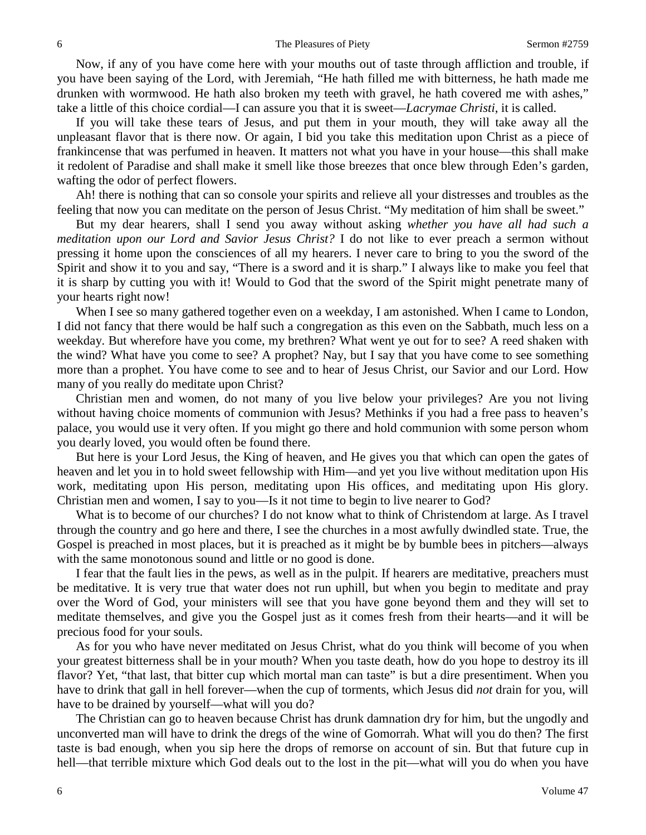Now, if any of you have come here with your mouths out of taste through affliction and trouble, if you have been saying of the Lord, with Jeremiah, "He hath filled me with bitterness, he hath made me drunken with wormwood. He hath also broken my teeth with gravel, he hath covered me with ashes," take a little of this choice cordial—I can assure you that it is sweet—*Lacrymae Christi*, it is called.

If you will take these tears of Jesus, and put them in your mouth, they will take away all the unpleasant flavor that is there now. Or again, I bid you take this meditation upon Christ as a piece of frankincense that was perfumed in heaven. It matters not what you have in your house—this shall make it redolent of Paradise and shall make it smell like those breezes that once blew through Eden's garden, wafting the odor of perfect flowers.

Ah! there is nothing that can so console your spirits and relieve all your distresses and troubles as the feeling that now you can meditate on the person of Jesus Christ. "My meditation of him shall be sweet."

But my dear hearers, shall I send you away without asking *whether you have all had such a meditation upon our Lord and Savior Jesus Christ?* I do not like to ever preach a sermon without pressing it home upon the consciences of all my hearers. I never care to bring to you the sword of the Spirit and show it to you and say, "There is a sword and it is sharp." I always like to make you feel that it is sharp by cutting you with it! Would to God that the sword of the Spirit might penetrate many of your hearts right now!

When I see so many gathered together even on a weekday, I am astonished. When I came to London, I did not fancy that there would be half such a congregation as this even on the Sabbath, much less on a weekday. But wherefore have you come, my brethren? What went ye out for to see? A reed shaken with the wind? What have you come to see? A prophet? Nay, but I say that you have come to see something more than a prophet. You have come to see and to hear of Jesus Christ, our Savior and our Lord. How many of you really do meditate upon Christ?

Christian men and women, do not many of you live below your privileges? Are you not living without having choice moments of communion with Jesus? Methinks if you had a free pass to heaven's palace, you would use it very often. If you might go there and hold communion with some person whom you dearly loved, you would often be found there.

But here is your Lord Jesus, the King of heaven, and He gives you that which can open the gates of heaven and let you in to hold sweet fellowship with Him—and yet you live without meditation upon His work, meditating upon His person, meditating upon His offices, and meditating upon His glory. Christian men and women, I say to you—Is it not time to begin to live nearer to God?

What is to become of our churches? I do not know what to think of Christendom at large. As I travel through the country and go here and there, I see the churches in a most awfully dwindled state. True, the Gospel is preached in most places, but it is preached as it might be by bumble bees in pitchers—always with the same monotonous sound and little or no good is done.

I fear that the fault lies in the pews, as well as in the pulpit. If hearers are meditative, preachers must be meditative. It is very true that water does not run uphill, but when you begin to meditate and pray over the Word of God, your ministers will see that you have gone beyond them and they will set to meditate themselves, and give you the Gospel just as it comes fresh from their hearts—and it will be precious food for your souls.

As for you who have never meditated on Jesus Christ, what do you think will become of you when your greatest bitterness shall be in your mouth? When you taste death, how do you hope to destroy its ill flavor? Yet, "that last, that bitter cup which mortal man can taste" is but a dire presentiment. When you have to drink that gall in hell forever—when the cup of torments, which Jesus did *not* drain for you, will have to be drained by yourself—what will you do?

The Christian can go to heaven because Christ has drunk damnation dry for him, but the ungodly and unconverted man will have to drink the dregs of the wine of Gomorrah. What will you do then? The first taste is bad enough, when you sip here the drops of remorse on account of sin. But that future cup in hell—that terrible mixture which God deals out to the lost in the pit—what will you do when you have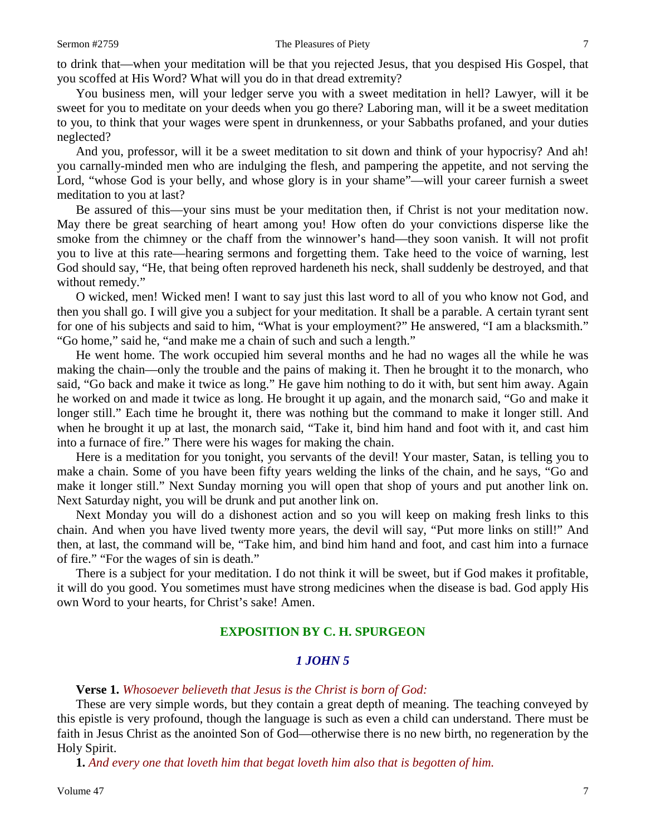to drink that—when your meditation will be that you rejected Jesus, that you despised His Gospel, that you scoffed at His Word? What will you do in that dread extremity?

You business men, will your ledger serve you with a sweet meditation in hell? Lawyer, will it be sweet for you to meditate on your deeds when you go there? Laboring man, will it be a sweet meditation to you, to think that your wages were spent in drunkenness, or your Sabbaths profaned, and your duties neglected?

And you, professor, will it be a sweet meditation to sit down and think of your hypocrisy? And ah! you carnally-minded men who are indulging the flesh, and pampering the appetite, and not serving the Lord, "whose God is your belly, and whose glory is in your shame"—will your career furnish a sweet meditation to you at last?

Be assured of this—your sins must be your meditation then, if Christ is not your meditation now. May there be great searching of heart among you! How often do your convictions disperse like the smoke from the chimney or the chaff from the winnower's hand—they soon vanish. It will not profit you to live at this rate—hearing sermons and forgetting them. Take heed to the voice of warning, lest God should say, "He, that being often reproved hardeneth his neck, shall suddenly be destroyed, and that without remedy."

O wicked, men! Wicked men! I want to say just this last word to all of you who know not God, and then you shall go. I will give you a subject for your meditation. It shall be a parable. A certain tyrant sent for one of his subjects and said to him, "What is your employment?" He answered, "I am a blacksmith." "Go home," said he, "and make me a chain of such and such a length."

He went home. The work occupied him several months and he had no wages all the while he was making the chain—only the trouble and the pains of making it. Then he brought it to the monarch, who said, "Go back and make it twice as long." He gave him nothing to do it with, but sent him away. Again he worked on and made it twice as long. He brought it up again, and the monarch said, "Go and make it longer still." Each time he brought it, there was nothing but the command to make it longer still. And when he brought it up at last, the monarch said, "Take it, bind him hand and foot with it, and cast him into a furnace of fire." There were his wages for making the chain.

Here is a meditation for you tonight, you servants of the devil! Your master, Satan, is telling you to make a chain. Some of you have been fifty years welding the links of the chain, and he says, "Go and make it longer still." Next Sunday morning you will open that shop of yours and put another link on. Next Saturday night, you will be drunk and put another link on.

Next Monday you will do a dishonest action and so you will keep on making fresh links to this chain. And when you have lived twenty more years, the devil will say, "Put more links on still!" And then, at last, the command will be, "Take him, and bind him hand and foot, and cast him into a furnace of fire." "For the wages of sin is death."

There is a subject for your meditation. I do not think it will be sweet, but if God makes it profitable, it will do you good. You sometimes must have strong medicines when the disease is bad. God apply His own Word to your hearts, for Christ's sake! Amen.

### **EXPOSITION BY C. H. SPURGEON**

### *1 JOHN 5*

**Verse 1.** *Whosoever believeth that Jesus is the Christ is born of God:*

These are very simple words, but they contain a great depth of meaning. The teaching conveyed by this epistle is very profound, though the language is such as even a child can understand. There must be faith in Jesus Christ as the anointed Son of God—otherwise there is no new birth, no regeneration by the Holy Spirit.

**1.** *And every one that loveth him that begat loveth him also that is begotten of him.*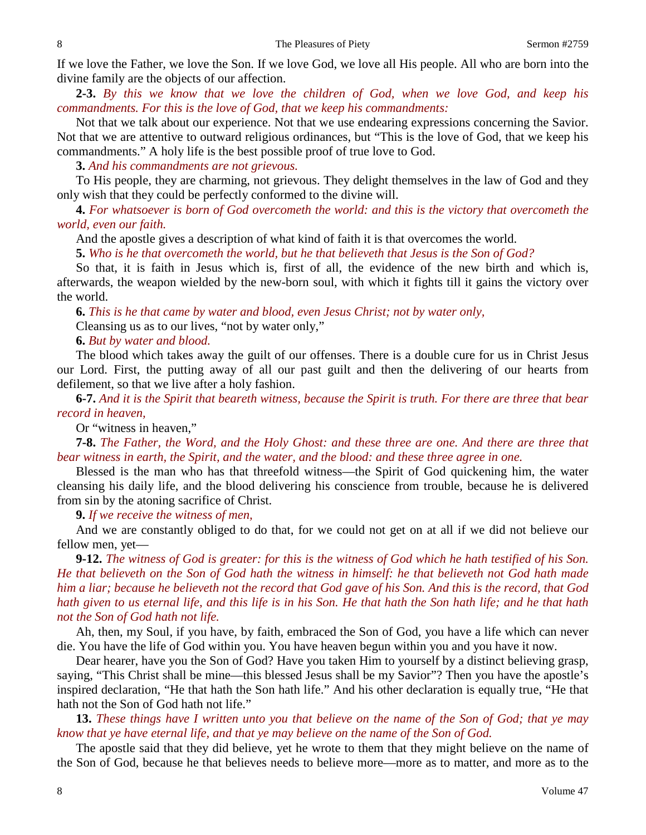If we love the Father, we love the Son. If we love God, we love all His people. All who are born into the divine family are the objects of our affection.

**2-3.** *By this we know that we love the children of God, when we love God, and keep his commandments. For this is the love of God, that we keep his commandments:*

Not that we talk about our experience. Not that we use endearing expressions concerning the Savior. Not that we are attentive to outward religious ordinances, but "This is the love of God, that we keep his commandments." A holy life is the best possible proof of true love to God.

**3.** *And his commandments are not grievous.* 

To His people, they are charming, not grievous. They delight themselves in the law of God and they only wish that they could be perfectly conformed to the divine will.

**4.** *For whatsoever is born of God overcometh the world: and this is the victory that overcometh the world, even our faith.* 

And the apostle gives a description of what kind of faith it is that overcomes the world.

**5.** *Who is he that overcometh the world, but he that believeth that Jesus is the Son of God?* 

So that, it is faith in Jesus which is, first of all, the evidence of the new birth and which is, afterwards, the weapon wielded by the new-born soul, with which it fights till it gains the victory over the world.

**6.** *This is he that came by water and blood, even Jesus Christ; not by water only,*

Cleansing us as to our lives, "not by water only,"

**6.** *But by water and blood.* 

The blood which takes away the guilt of our offenses. There is a double cure for us in Christ Jesus our Lord. First, the putting away of all our past guilt and then the delivering of our hearts from defilement, so that we live after a holy fashion.

**6-7.** *And it is the Spirit that beareth witness, because the Spirit is truth. For there are three that bear record in heaven,*

Or "witness in heaven,"

**7-8.** *The Father, the Word, and the Holy Ghost: and these three are one. And there are three that bear witness in earth, the Spirit, and the water, and the blood: and these three agree in one.*

Blessed is the man who has that threefold witness—the Spirit of God quickening him, the water cleansing his daily life, and the blood delivering his conscience from trouble, because he is delivered from sin by the atoning sacrifice of Christ.

**9.** *If we receive the witness of men,*

And we are constantly obliged to do that, for we could not get on at all if we did not believe our fellow men, yet—

**9-12.** *The witness of God is greater: for this is the witness of God which he hath testified of his Son. He that believeth on the Son of God hath the witness in himself: he that believeth not God hath made him a liar; because he believeth not the record that God gave of his Son. And this is the record, that God hath given to us eternal life, and this life is in his Son. He that hath the Son hath life; and he that hath not the Son of God hath not life.*

Ah, then, my Soul, if you have, by faith, embraced the Son of God, you have a life which can never die. You have the life of God within you. You have heaven begun within you and you have it now.

Dear hearer, have you the Son of God? Have you taken Him to yourself by a distinct believing grasp, saying, "This Christ shall be mine—this blessed Jesus shall be my Savior"? Then you have the apostle's inspired declaration, "He that hath the Son hath life." And his other declaration is equally true, "He that hath not the Son of God hath not life."

**13.** *These things have I written unto you that believe on the name of the Son of God; that ye may know that ye have eternal life, and that ye may believe on the name of the Son of God.*

The apostle said that they did believe, yet he wrote to them that they might believe on the name of the Son of God, because he that believes needs to believe more—more as to matter, and more as to the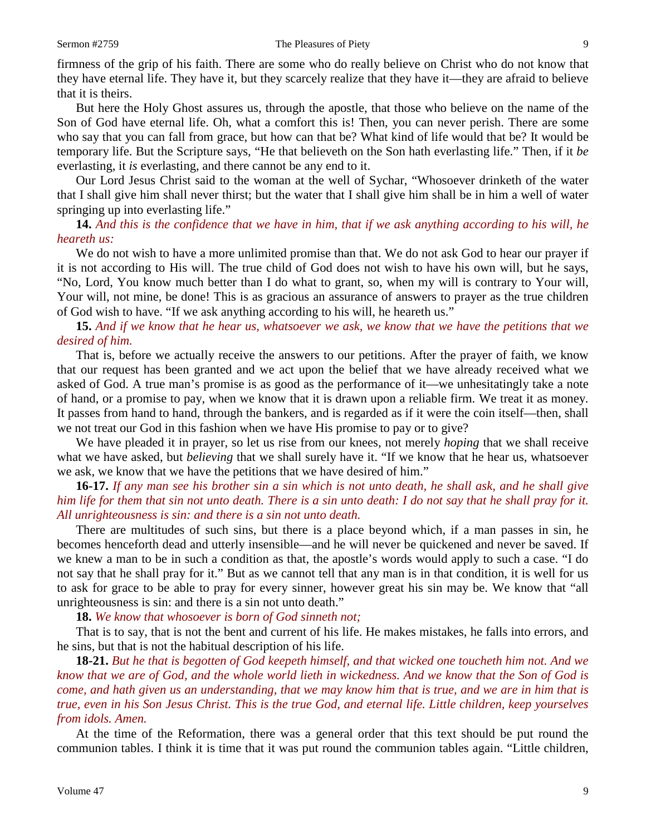firmness of the grip of his faith. There are some who do really believe on Christ who do not know that they have eternal life. They have it, but they scarcely realize that they have it—they are afraid to believe that it is theirs.

But here the Holy Ghost assures us, through the apostle, that those who believe on the name of the Son of God have eternal life. Oh, what a comfort this is! Then, you can never perish. There are some who say that you can fall from grace, but how can that be? What kind of life would that be? It would be temporary life. But the Scripture says, "He that believeth on the Son hath everlasting life." Then, if it *be* everlasting, it *is* everlasting, and there cannot be any end to it.

Our Lord Jesus Christ said to the woman at the well of Sychar, "Whosoever drinketh of the water that I shall give him shall never thirst; but the water that I shall give him shall be in him a well of water springing up into everlasting life."

**14.** *And this is the confidence that we have in him, that if we ask anything according to his will, he heareth us:*

We do not wish to have a more unlimited promise than that. We do not ask God to hear our prayer if it is not according to His will. The true child of God does not wish to have his own will, but he says, "No, Lord, You know much better than I do what to grant, so, when my will is contrary to Your will, Your will, not mine, be done! This is as gracious an assurance of answers to prayer as the true children of God wish to have. "If we ask anything according to his will, he heareth us."

**15.** *And if we know that he hear us, whatsoever we ask, we know that we have the petitions that we desired of him.*

That is, before we actually receive the answers to our petitions. After the prayer of faith, we know that our request has been granted and we act upon the belief that we have already received what we asked of God. A true man's promise is as good as the performance of it—we unhesitatingly take a note of hand, or a promise to pay, when we know that it is drawn upon a reliable firm. We treat it as money. It passes from hand to hand, through the bankers, and is regarded as if it were the coin itself—then, shall we not treat our God in this fashion when we have His promise to pay or to give?

We have pleaded it in prayer, so let us rise from our knees, not merely *hoping* that we shall receive what we have asked, but *believing* that we shall surely have it. "If we know that he hear us, whatsoever we ask, we know that we have the petitions that we have desired of him."

### **16-17.** *If any man see his brother sin a sin which is not unto death, he shall ask, and he shall give him life for them that sin not unto death. There is a sin unto death: I do not say that he shall pray for it. All unrighteousness is sin: and there is a sin not unto death.*

There are multitudes of such sins, but there is a place beyond which, if a man passes in sin, he becomes henceforth dead and utterly insensible—and he will never be quickened and never be saved. If we knew a man to be in such a condition as that, the apostle's words would apply to such a case. "I do not say that he shall pray for it." But as we cannot tell that any man is in that condition, it is well for us to ask for grace to be able to pray for every sinner, however great his sin may be. We know that "all unrighteousness is sin: and there is a sin not unto death."

**18.** *We know that whosoever is born of God sinneth not;*

That is to say, that is not the bent and current of his life. He makes mistakes, he falls into errors, and he sins, but that is not the habitual description of his life.

**18-21.** *But he that is begotten of God keepeth himself, and that wicked one toucheth him not. And we know that we are of God, and the whole world lieth in wickedness. And we know that the Son of God is come, and hath given us an understanding, that we may know him that is true, and we are in him that is true, even in his Son Jesus Christ. This is the true God, and eternal life. Little children, keep yourselves from idols. Amen.*

At the time of the Reformation, there was a general order that this text should be put round the communion tables. I think it is time that it was put round the communion tables again. "Little children,